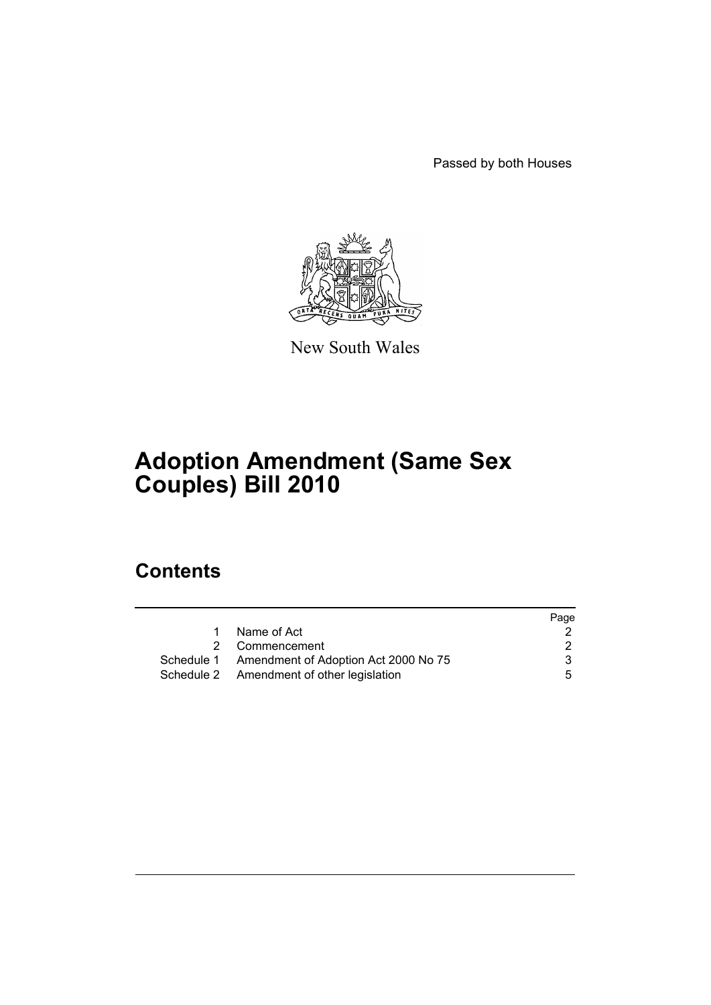Passed by both Houses



New South Wales

# **Adoption Amendment (Same Sex Couples) Bill 2010**

# **Contents**

|   |                                                 | Page |
|---|-------------------------------------------------|------|
| 1 | Name of Act                                     |      |
|   | 2 Commencement                                  |      |
|   | Schedule 1 Amendment of Adoption Act 2000 No 75 | 3    |
|   | Schedule 2 Amendment of other legislation       | 5    |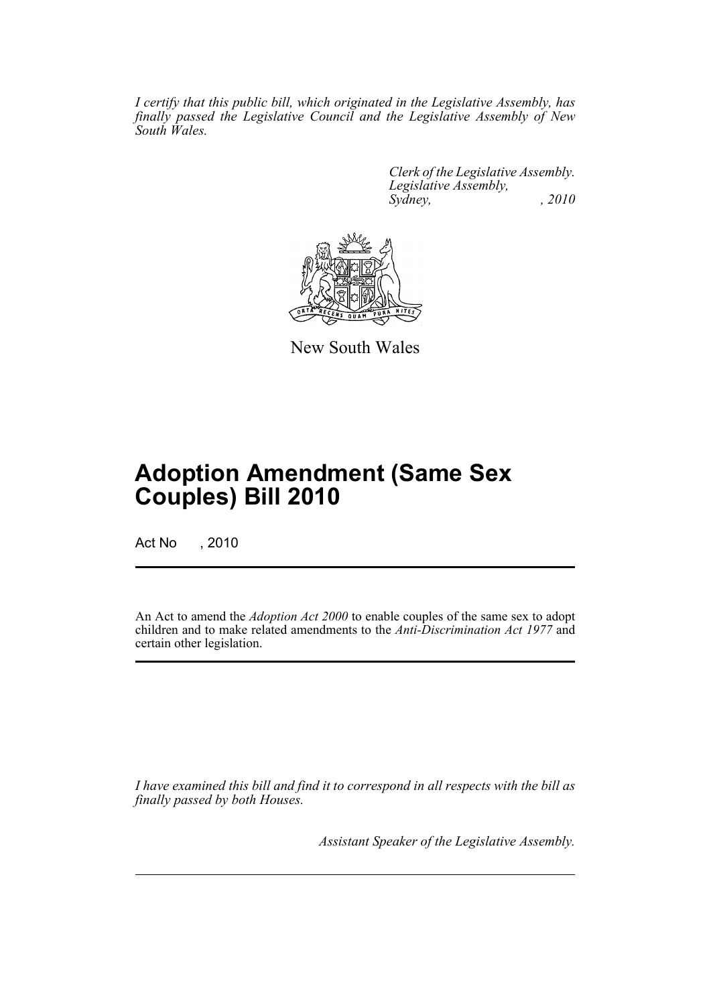*I certify that this public bill, which originated in the Legislative Assembly, has finally passed the Legislative Council and the Legislative Assembly of New South Wales.*

> *Clerk of the Legislative Assembly. Legislative Assembly, Sydney, , 2010*



New South Wales

# **Adoption Amendment (Same Sex Couples) Bill 2010**

Act No , 2010

An Act to amend the *Adoption Act 2000* to enable couples of the same sex to adopt children and to make related amendments to the *Anti-Discrimination Act 1977* and certain other legislation.

*I have examined this bill and find it to correspond in all respects with the bill as finally passed by both Houses.*

*Assistant Speaker of the Legislative Assembly.*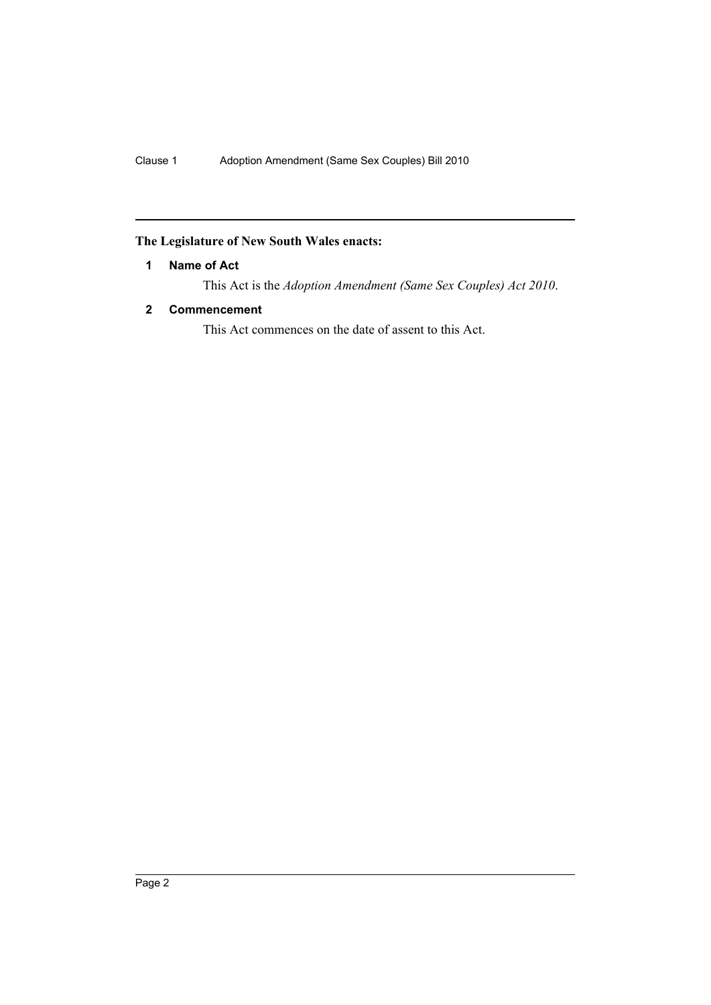# <span id="page-3-0"></span>**The Legislature of New South Wales enacts:**

## **1 Name of Act**

This Act is the *Adoption Amendment (Same Sex Couples) Act 2010*.

## <span id="page-3-1"></span>**2 Commencement**

This Act commences on the date of assent to this Act.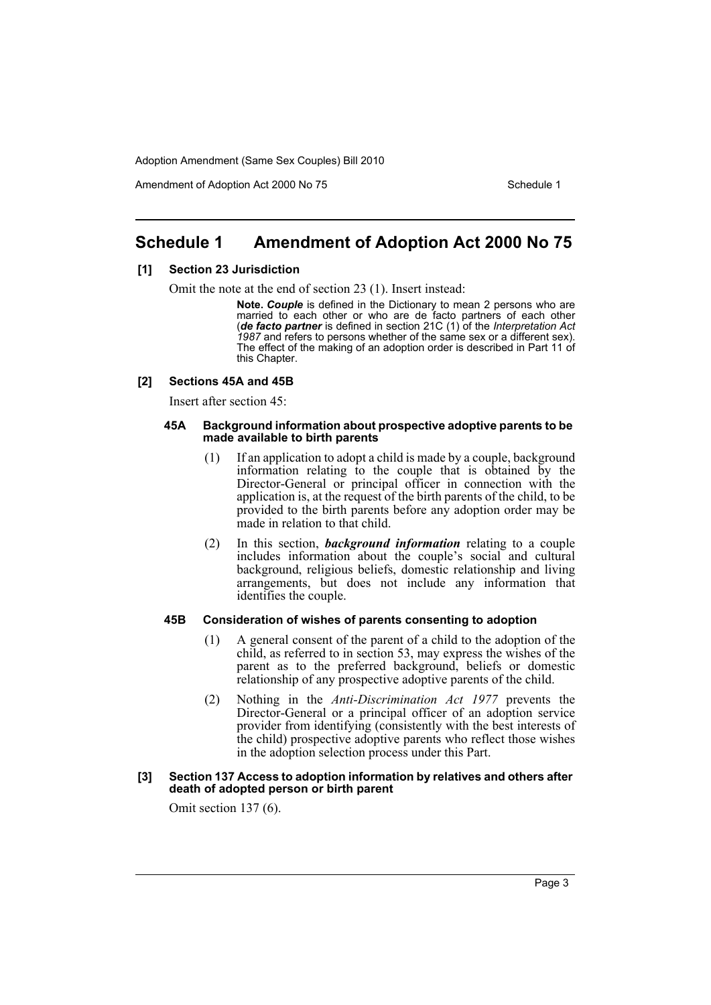Amendment of Adoption Act 2000 No 75 Schedule 1

# <span id="page-4-0"></span>**Schedule 1 Amendment of Adoption Act 2000 No 75**

#### **[1] Section 23 Jurisdiction**

Omit the note at the end of section 23 (1). Insert instead:

**Note.** *Couple* is defined in the Dictionary to mean 2 persons who are married to each other or who are de facto partners of each other (*de facto partner* is defined in section 21C (1) of the *Interpretation Act 1987* and refers to persons whether of the same sex or a different sex). The effect of the making of an adoption order is described in Part 11 of this Chapter.

#### **[2] Sections 45A and 45B**

Insert after section 45:

#### **45A Background information about prospective adoptive parents to be made available to birth parents**

- (1) If an application to adopt a child is made by a couple, background information relating to the couple that is obtained by the Director-General or principal officer in connection with the application is, at the request of the birth parents of the child, to be provided to the birth parents before any adoption order may be made in relation to that child.
- (2) In this section, *background information* relating to a couple includes information about the couple's social and cultural background, religious beliefs, domestic relationship and living arrangements, but does not include any information that identifies the couple.

#### **45B Consideration of wishes of parents consenting to adoption**

- (1) A general consent of the parent of a child to the adoption of the child, as referred to in section 53, may express the wishes of the parent as to the preferred background, beliefs or domestic relationship of any prospective adoptive parents of the child.
- (2) Nothing in the *Anti-Discrimination Act 1977* prevents the Director-General or a principal officer of an adoption service provider from identifying (consistently with the best interests of the child) prospective adoptive parents who reflect those wishes in the adoption selection process under this Part.

#### **[3] Section 137 Access to adoption information by relatives and others after death of adopted person or birth parent**

Omit section 137 (6).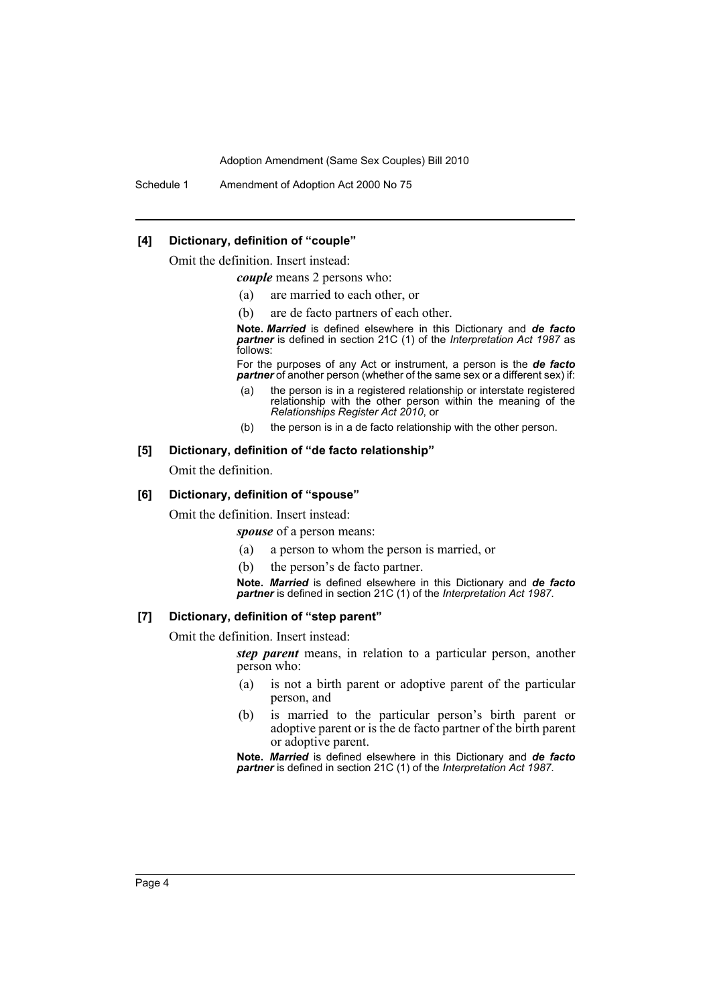Schedule 1 Amendment of Adoption Act 2000 No 75

#### **[4] Dictionary, definition of "couple"**

Omit the definition. Insert instead:

*couple* means 2 persons who:

- (a) are married to each other, or
- (b) are de facto partners of each other.

**Note.** *Married* is defined elsewhere in this Dictionary and *de facto partner* is defined in section 21C (1) of the *Interpretation Act 1987* as follows:

For the purposes of any Act or instrument, a person is the *de facto partner* of another person (whether of the same sex or a different sex) if:

- (a) the person is in a registered relationship or interstate registered relationship with the other person within the meaning of the *Relationships Register Act 2010*, or
- (b) the person is in a de facto relationship with the other person.

#### **[5] Dictionary, definition of "de facto relationship"**

Omit the definition.

#### **[6] Dictionary, definition of "spouse"**

Omit the definition. Insert instead:

*spouse* of a person means:

- (a) a person to whom the person is married, or
- (b) the person's de facto partner.

**Note.** *Married* is defined elsewhere in this Dictionary and *de facto partner* is defined in section 21C (1) of the *Interpretation Act 1987*.

#### **[7] Dictionary, definition of "step parent"**

Omit the definition. Insert instead:

*step parent* means, in relation to a particular person, another person who:

- (a) is not a birth parent or adoptive parent of the particular person, and
- (b) is married to the particular person's birth parent or adoptive parent or is the de facto partner of the birth parent or adoptive parent.

**Note.** *Married* is defined elsewhere in this Dictionary and *de facto partner* is defined in section 21C (1) of the *Interpretation Act 1987*.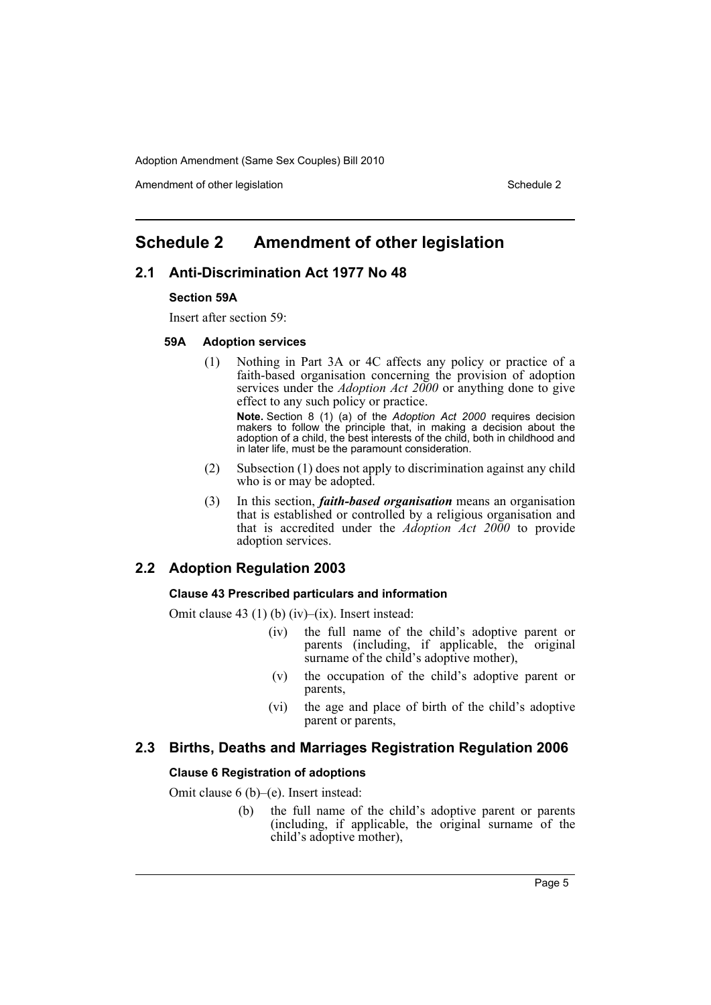Amendment of other legislation Schedule 2

# <span id="page-6-0"></span>**Schedule 2 Amendment of other legislation**

## **2.1 Anti-Discrimination Act 1977 No 48**

#### **Section 59A**

Insert after section 59:

#### **59A Adoption services**

(1) Nothing in Part 3A or 4C affects any policy or practice of a faith-based organisation concerning the provision of adoption services under the *Adoption Act 2000* or anything done to give effect to any such policy or practice.

**Note.** Section 8 (1) (a) of the *Adoption Act 2000* requires decision makers to follow the principle that, in making a decision about the adoption of a child, the best interests of the child, both in childhood and in later life, must be the paramount consideration.

- (2) Subsection (1) does not apply to discrimination against any child who is or may be adopted.
- (3) In this section, *faith-based organisation* means an organisation that is established or controlled by a religious organisation and that is accredited under the *Adoption Act 2000* to provide adoption services.

## **2.2 Adoption Regulation 2003**

### **Clause 43 Prescribed particulars and information**

Omit clause 43 (1) (b) (iv)–(ix). Insert instead:

- (iv) the full name of the child's adoptive parent or parents (including, if applicable, the original surname of the child's adoptive mother),
- (v) the occupation of the child's adoptive parent or parents,
- (vi) the age and place of birth of the child's adoptive parent or parents,

## **2.3 Births, Deaths and Marriages Registration Regulation 2006**

#### **Clause 6 Registration of adoptions**

Omit clause 6 (b)–(e). Insert instead:

(b) the full name of the child's adoptive parent or parents (including, if applicable, the original surname of the child's adoptive mother),